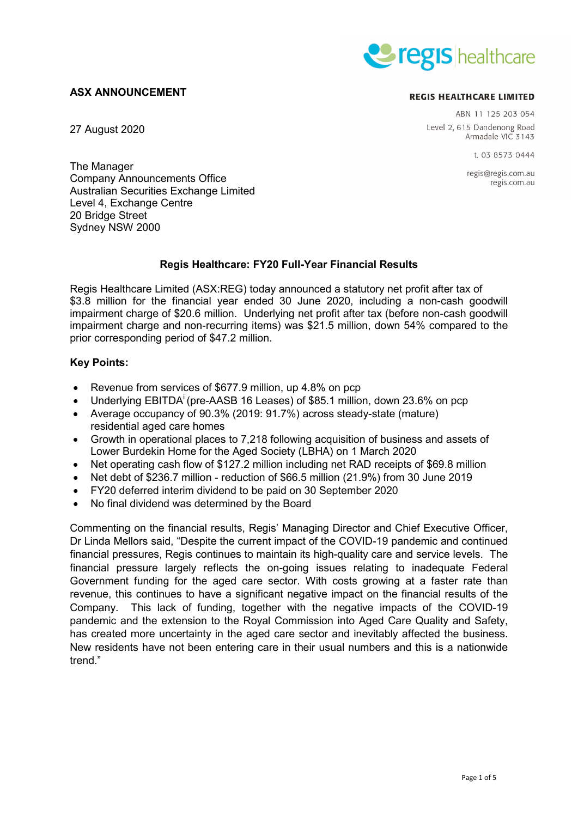# **ASX ANNOUNCEMENT**

27 August 2020



#### **REGIS HEALTHCARE LIMITED**

ABN 11 125 203 054 Level 2, 615 Dandenong Road Armadale VIC 3143

t. 03 8573 0444

regis@regis.com.au regis.com.au

The Manager Company Announcements Office Australian Securities Exchange Limited Level 4, Exchange Centre 20 Bridge Street Sydney NSW 2000

### **Regis Healthcare: FY20 Full-Year Financial Results**

Regis Healthcare Limited (ASX:REG) today announced a statutory net profit after tax of \$3.8 million for the financial year ended 30 June 2020, including a non-cash goodwill impairment charge of \$20.6 million. Underlying net profit after tax (before non-cash goodwill impairment charge and non-recurring items) was \$21.5 million, down 54% compared to the prior corresponding period of \$47.2 million.

### **Key Points:**

- Revenue from services of \$677.9 million, up 4.8% on pcp
- Underlying EBITDA<sup>i</sup> (pre-AASB 16 Leases) of \$85.1 million, down 23.6% on pcp
- Average occupancy of 90.3% (2019: 91.7%) across steady-state (mature) residential aged care homes
- Growth in operational places to 7,218 following acquisition of business and assets of Lower Burdekin Home for the Aged Society (LBHA) on 1 March 2020
- Net operating cash flow of \$127.2 million including net RAD receipts of \$69.8 million
- Net debt of \$236.7 million reduction of \$66.5 million (21.9%) from 30 June 2019
- FY20 deferred interim dividend to be paid on 30 September 2020
- No final dividend was determined by the Board

Commenting on the financial results, Regis' Managing Director and Chief Executive Officer, Dr Linda Mellors said, "Despite the current impact of the COVID-19 pandemic and continued financial pressures, Regis continues to maintain its high-quality care and service levels. The financial pressure largely reflects the on-going issues relating to inadequate Federal Government funding for the aged care sector. With costs growing at a faster rate than revenue, this continues to have a significant negative impact on the financial results of the Company. This lack of funding, together with the negative impacts of the COVID-19 pandemic and the extension to the Royal Commission into Aged Care Quality and Safety, has created more uncertainty in the aged care sector and inevitably affected the business. New residents have not been entering care in their usual numbers and this is a nationwide trend."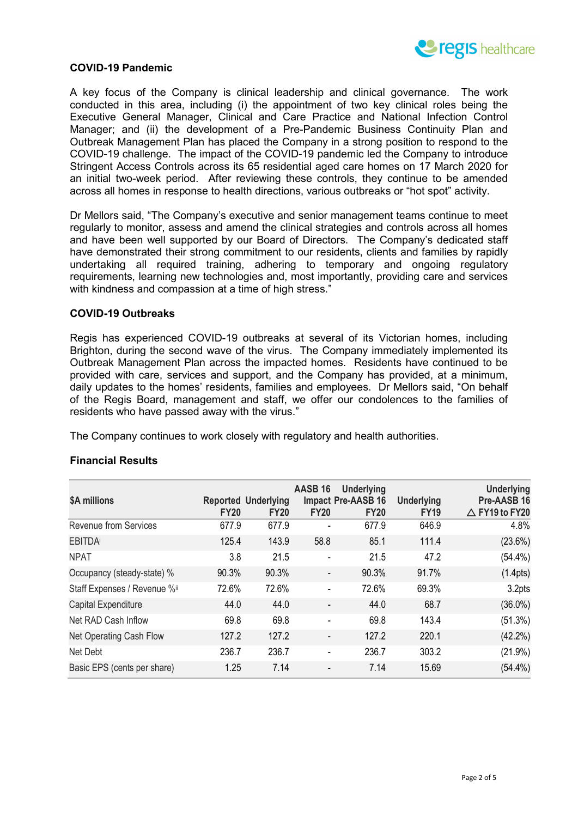

### **COVID-19 Pandemic**

A key focus of the Company is clinical leadership and clinical governance. The work conducted in this area, including (i) the appointment of two key clinical roles being the Executive General Manager, Clinical and Care Practice and National Infection Control Manager; and (ii) the development of a Pre-Pandemic Business Continuity Plan and Outbreak Management Plan has placed the Company in a strong position to respond to the COVID-19 challenge. The impact of the COVID-19 pandemic led the Company to introduce Stringent Access Controls across its 65 residential aged care homes on 17 March 2020 for an initial two-week period. After reviewing these controls, they continue to be amended across all homes in response to health directions, various outbreaks or "hot spot" activity.

Dr Mellors said, "The Company's executive and senior management teams continue to meet regularly to monitor, assess and amend the clinical strategies and controls across all homes and have been well supported by our Board of Directors. The Company's dedicated staff have demonstrated their strong commitment to our residents, clients and families by rapidly undertaking all required training, adhering to temporary and ongoing regulatory requirements, learning new technologies and, most importantly, providing care and services with kindness and compassion at a time of high stress."

#### **COVID-19 Outbreaks**

Regis has experienced COVID-19 outbreaks at several of its Victorian homes, including Brighton, during the second wave of the virus. The Company immediately implemented its Outbreak Management Plan across the impacted homes. Residents have continued to be provided with care, services and support, and the Company has provided, at a minimum, daily updates to the homes' residents, families and employees. Dr Mellors said, "On behalf of the Regis Board, management and staff, we offer our condolences to the families of residents who have passed away with the virus."

The Company continues to work closely with regulatory and health authorities.

| \$A millions                 | <b>FY20</b> | <b>Reported Underlying</b><br><b>FY20</b> | AASB 16<br><b>FY20</b>   | <b>Underlying</b><br>Impact Pre-AASB 16<br><b>FY20</b> | <b>Underlying</b><br><b>FY19</b> | <b>Underlying</b><br>Pre-AASB 16<br>$\triangle$ FY19 to FY20 |
|------------------------------|-------------|-------------------------------------------|--------------------------|--------------------------------------------------------|----------------------------------|--------------------------------------------------------------|
| <b>Revenue from Services</b> | 677.9       | 677.9                                     |                          | 677.9                                                  | 646.9                            | 4.8%                                                         |
| <b>EBITDA</b>                | 125.4       | 143.9                                     | 58.8                     | 85.1                                                   | 111.4                            | $(23.6\%)$                                                   |
| <b>NPAT</b>                  | 3.8         | 21.5                                      | -                        | 21.5                                                   | 47.2                             | $(54.4\%)$                                                   |
| Occupancy (steady-state) %   | 90.3%       | 90.3%                                     | $\overline{\phantom{a}}$ | 90.3%                                                  | 91.7%                            | (1.4pts)                                                     |
| Staff Expenses / Revenue %ii | 72.6%       | 72.6%                                     | ۰                        | 72.6%                                                  | 69.3%                            | 3.2pts                                                       |
| Capital Expenditure          | 44.0        | 44.0                                      |                          | 44.0                                                   | 68.7                             | $(36.0\%)$                                                   |
| Net RAD Cash Inflow          | 69.8        | 69.8                                      | -                        | 69.8                                                   | 143.4                            | $(51.3\%)$                                                   |
| Net Operating Cash Flow      | 127.2       | 127.2                                     |                          | 127.2                                                  | 220.1                            | $(42.2\%)$                                                   |
| Net Debt                     | 236.7       | 236.7                                     |                          | 236.7                                                  | 303.2                            | $(21.9\%)$                                                   |
| Basic EPS (cents per share)  | 1.25        | 7.14                                      |                          | 7.14                                                   | 15.69                            | $(54.4\%)$                                                   |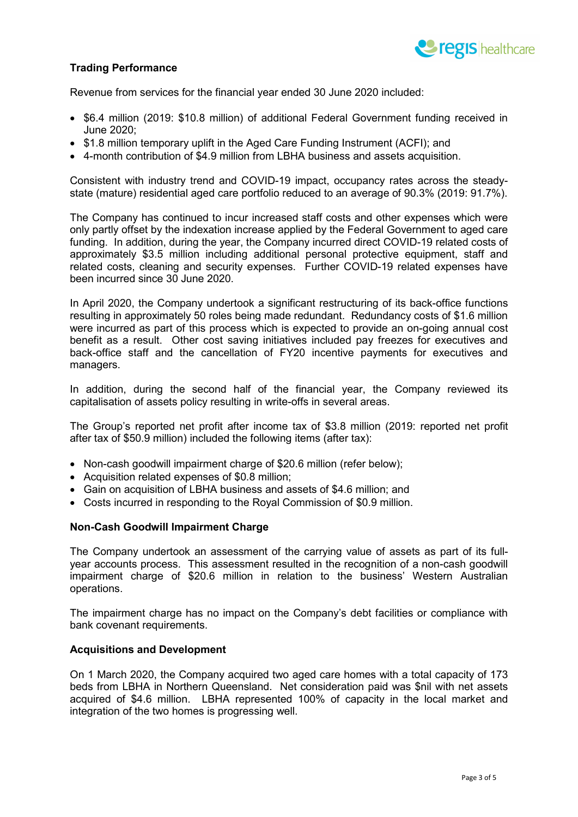

# **Trading Performance**

Revenue from services for the financial year ended 30 June 2020 included:

- \$6.4 million (2019: \$10.8 million) of additional Federal Government funding received in June 2020;
- \$1.8 million temporary uplift in the Aged Care Funding Instrument (ACFI); and
- 4-month contribution of \$4.9 million from LBHA business and assets acquisition.

Consistent with industry trend and COVID-19 impact, occupancy rates across the steadystate (mature) residential aged care portfolio reduced to an average of 90.3% (2019: 91.7%).

The Company has continued to incur increased staff costs and other expenses which were only partly offset by the indexation increase applied by the Federal Government to aged care funding. In addition, during the year, the Company incurred direct COVID-19 related costs of approximately \$3.5 million including additional personal protective equipment, staff and related costs, cleaning and security expenses. Further COVID-19 related expenses have been incurred since 30 June 2020.

In April 2020, the Company undertook a significant restructuring of its back-office functions resulting in approximately 50 roles being made redundant. Redundancy costs of \$1.6 million were incurred as part of this process which is expected to provide an on-going annual cost benefit as a result. Other cost saving initiatives included pay freezes for executives and back-office staff and the cancellation of FY20 incentive payments for executives and managers.

In addition, during the second half of the financial year, the Company reviewed its capitalisation of assets policy resulting in write-offs in several areas.

The Group's reported net profit after income tax of \$3.8 million (2019: reported net profit after tax of \$50.9 million) included the following items (after tax):

- Non-cash goodwill impairment charge of \$20.6 million (refer below);
- Acquisition related expenses of \$0.8 million;
- Gain on acquisition of LBHA business and assets of \$4.6 million; and
- Costs incurred in responding to the Royal Commission of \$0.9 million.

#### **Non-Cash Goodwill Impairment Charge**

The Company undertook an assessment of the carrying value of assets as part of its fullyear accounts process. This assessment resulted in the recognition of a non-cash goodwill impairment charge of \$20.6 million in relation to the business' Western Australian operations.

The impairment charge has no impact on the Company's debt facilities or compliance with bank covenant requirements.

#### **Acquisitions and Development**

On 1 March 2020, the Company acquired two aged care homes with a total capacity of 173 beds from LBHA in Northern Queensland. Net consideration paid was \$nil with net assets acquired of \$4.6 million. LBHA represented 100% of capacity in the local market and integration of the two homes is progressing well.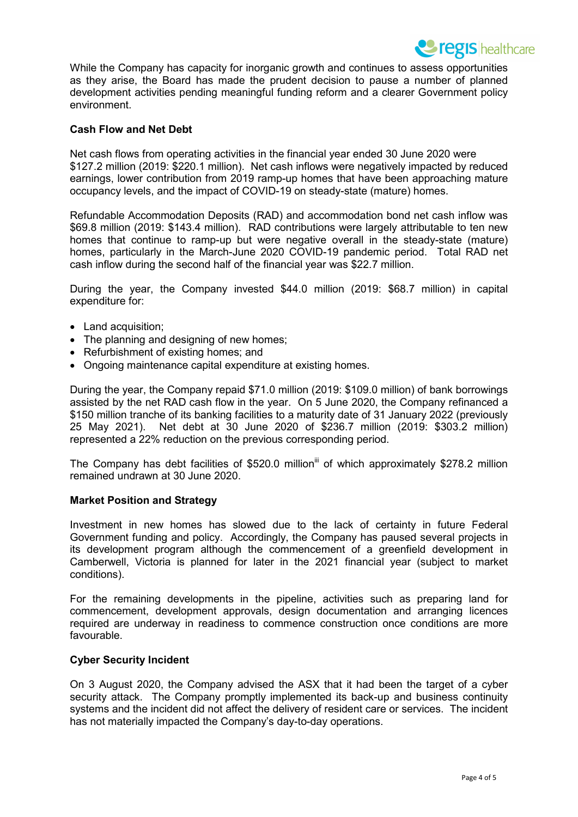While the Company has capacity for inorganic growth and continues to assess opportunities as they arise, the Board has made the prudent decision to pause a number of planned development activities pending meaningful funding reform and a clearer Government policy environment.

### **Cash Flow and Net Debt**

Net cash flows from operating activities in the financial year ended 30 June 2020 were \$127.2 million (2019: \$220.1 million). Net cash inflows were negatively impacted by reduced earnings, lower contribution from 2019 ramp-up homes that have been approaching mature occupancy levels, and the impact of COVID-19 on steady-state (mature) homes.

Refundable Accommodation Deposits (RAD) and accommodation bond net cash inflow was \$69.8 million (2019: \$143.4 million). RAD contributions were largely attributable to ten new homes that continue to ramp-up but were negative overall in the steady-state (mature) homes, particularly in the March-June 2020 COVID-19 pandemic period. Total RAD net cash inflow during the second half of the financial year was \$22.7 million.

During the year, the Company invested \$44.0 million (2019: \$68.7 million) in capital expenditure for:

- Land acquisition;
- The planning and designing of new homes;
- Refurbishment of existing homes; and
- Ongoing maintenance capital expenditure at existing homes.

During the year, the Company repaid \$71.0 million (2019: \$109.0 million) of bank borrowings assisted by the net RAD cash flow in the year. On 5 June 2020, the Company refinanced a \$150 million tranche of its banking facilities to a maturity date of 31 January 2022 (previously 25 May 2021). Net debt at 30 June 2020 of \$236.7 million (2019: \$303.2 million) represented a 22% reduction on the previous corresponding period.

The Company has debt facilities of \$520.0 million<sup>iii</sup> of which approximately \$278.2 million remained undrawn at 30 June 2020.

#### **Market Position and Strategy**

Investment in new homes has slowed due to the lack of certainty in future Federal Government funding and policy. Accordingly, the Company has paused several projects in its development program although the commencement of a greenfield development in Camberwell, Victoria is planned for later in the 2021 financial year (subject to market conditions).

For the remaining developments in the pipeline, activities such as preparing land for commencement, development approvals, design documentation and arranging licences required are underway in readiness to commence construction once conditions are more favourable.

### **Cyber Security Incident**

On 3 August 2020, the Company advised the ASX that it had been the target of a cyber security attack. The Company promptly implemented its back-up and business continuity systems and the incident did not affect the delivery of resident care or services. The incident has not materially impacted the Company's day-to-day operations.